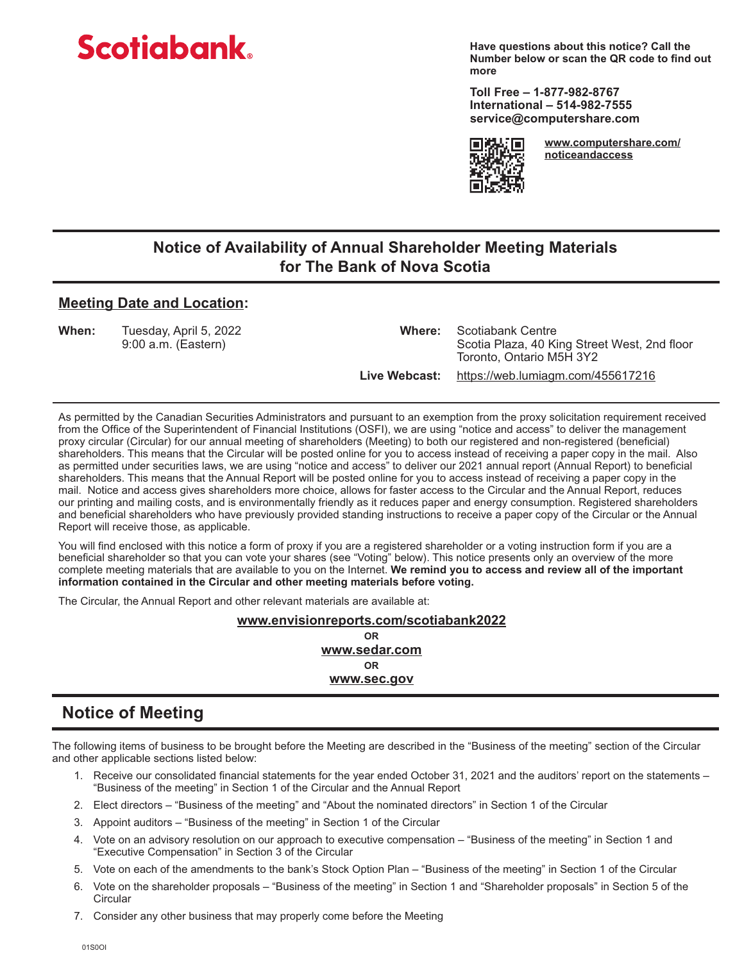# **Scotiabank**

**Have questions about this notice? Call the Number below or scan the QR code to find out more**

**Toll Free – 1-877-982-8767 International – 514-982-7555 service@computershare.com**



**www.computershare.com/ noticeandaccess**

## **Notice of Availability of Annual Shareholder Meeting Materials for The Bank of Nova Scotia**

#### **Meeting Date and Location:**

**When:** Tuesday, April 5, 2022 **Where:** Scotiabank Centre

Scotia Plaza, 40 King Street West, 2nd floor Toronto, Ontario M5H 3Y2

 **Live Webcast:** https://web.lumiagm.com/455617216

As permitted by the Canadian Securities Administrators and pursuant to an exemption from the proxy solicitation requirement received from the Office of the Superintendent of Financial Institutions (OSFI), we are using "notice and access" to deliver the management proxy circular (Circular) for our annual meeting of shareholders (Meeting) to both our registered and non-registered (beneficial) shareholders. This means that the Circular will be posted online for you to access instead of receiving a paper copy in the mail. Also as permitted under securities laws, we are using "notice and access" to deliver our 2021 annual report (Annual Report) to beneficial shareholders. This means that the Annual Report will be posted online for you to access instead of receiving a paper copy in the mail. Notice and access gives shareholders more choice, allows for faster access to the Circular and the Annual Report, reduces our printing and mailing costs, and is environmentally friendly as it reduces paper and energy consumption. Registered shareholders and beneficial shareholders who have previously provided standing instructions to receive a paper copy of the Circular or the Annual Report will receive those, as applicable.

You will find enclosed with this notice a form of proxy if you are a registered shareholder or a voting instruction form if you are a beneficial shareholder so that you can vote your shares (see "Voting" below). This notice presents only an overview of the more complete meeting materials that are available to you on the Internet. **We remind you to access and review all of the important information contained in the Circular and other meeting materials before voting.**

The Circular, the Annual Report and other relevant materials are available at:

**www.envisionreports.com/scotiabank2022**

**OR www.sedar.com OR www.sec.gov**

# **Notice of Meeting**

The following items of business to be brought before the Meeting are described in the "Business of the meeting" section of the Circular and other applicable sections listed below:

- 1. Receive our consolidated financial statements for the year ended October 31, 2021 and the auditors' report on the statements "Business of the meeting" in Section 1 of the Circular and the Annual Report
- 2. Elect directors "Business of the meeting" and "About the nominated directors" in Section 1 of the Circular
- 3. Appoint auditors "Business of the meeting" in Section 1 of the Circular
- 4. Vote on an advisory resolution on our approach to executive compensation "Business of the meeting" in Section 1 and "Executive Compensation" in Section 3 of the Circular
- 5. Vote on each of the amendments to the bank's Stock Option Plan "Business of the meeting" in Section 1 of the Circular
- 6. Vote on the shareholder proposals "Business of the meeting" in Section 1 and "Shareholder proposals" in Section 5 of the **Circular**
- 7. Consider any other business that may properly come before the Meeting